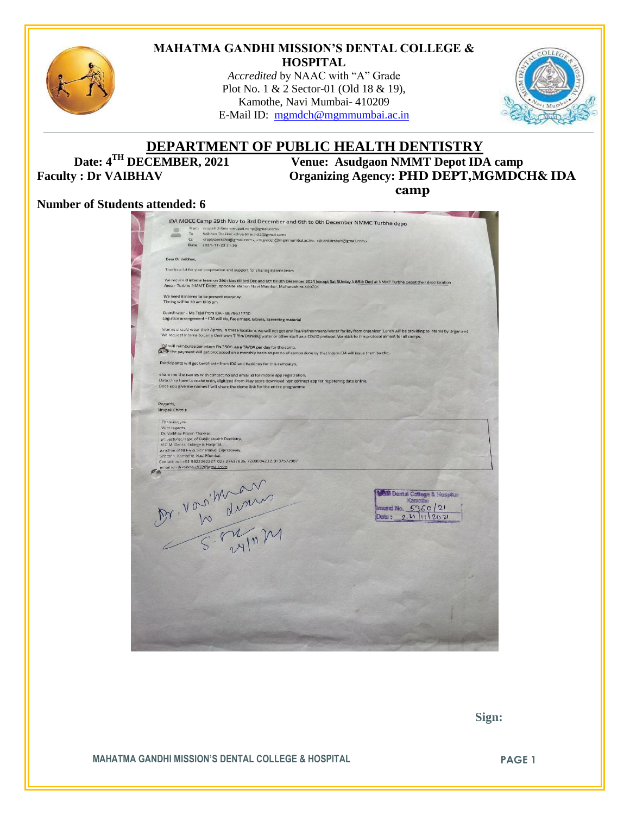

#### **MAHATMA GANDHI MISSION'S DENTAL COLLEGE & HOSPITAL**

*Accredited* by NAAC with "A" Grade Plot No. 1 & 2 Sector-01 (Old 18 & 19), Kamothe, Navi Mumbai- 410209 E-Mail ID: [mgmdch@mgmmumbai.ac.in](mailto:mgmdch@mgmmumbai.ac.in)



# **DEPARTMENT OF PUBLIC HEALTH DENTISTRY**<br>Date:  $4^{TH}$  DECEMBER, 2021 Venue: Asudgaon NMMT Depot IDA

**Venue: Asudgaon NMMT Depot IDA camp** Faculty : Dr VAIBHAV Organizing Agency: **PHD DEPT,MGMDCH& IDA camp** 

#### **Number of Students attended: 6**

| IDA MOCC Camp 29th Nov to 3rd December and 6th to 8th December NMMC Turbhe depo<br>From nrupali chitnis <nrupali.nohp@gmail.com><br/>Vaibhav Thakkar <drvaibhav.h32@gmail.com><br/><replydeeksha@gmail.com>, <mgmdch@mgmmumbai.ac.in>, <dr.ankitrshah@gmail.com></dr.ankitrshah@gmail.com></mgmdch@mgmmumbai.ac.in></replydeeksha@gmail.com></drvaibhav.h32@gmail.com></nrupali.nohp@gmail.com> |
|-------------------------------------------------------------------------------------------------------------------------------------------------------------------------------------------------------------------------------------------------------------------------------------------------------------------------------------------------------------------------------------------------|
|                                                                                                                                                                                                                                                                                                                                                                                                 |
|                                                                                                                                                                                                                                                                                                                                                                                                 |
|                                                                                                                                                                                                                                                                                                                                                                                                 |
| Thanks a lot for your cooperation and support for sharing Interns team                                                                                                                                                                                                                                                                                                                          |
| We require 8 Interns team on 29th Nov till 3rd Dec and 6th till 8th December 2021 (except Sat SUnday 4 &5th Dec) at NMMT Turbhe Depot their depo location                                                                                                                                                                                                                                       |
| Area - Turbhe NMMT Depot opposite station Navi Mumbai, Maharashtra 400701                                                                                                                                                                                                                                                                                                                       |
|                                                                                                                                                                                                                                                                                                                                                                                                 |
| Logistics arrangement - IDA will do, Face mask, Gloves, Screening material                                                                                                                                                                                                                                                                                                                      |
| Interns should wear their Apron, In these locations we will not get any Tea/Refreshment/Water facility from organizer (Lunch will be providing to interns by Organizer)<br>We request Interns to carry their own Tiffin/Drinking water or other stuff as a COVID protocol. We stick to this protocol almost for all camps.                                                                      |
| IDA will reimburse per intern Rs.350/- as a TA/DA per day for the camp.<br>(a,Fo) the payment will get processed on a monthly basis as per no of camps done by that Intern IDA will issue them by chq.                                                                                                                                                                                          |
| Participants will get Certificate from IDA and Karkinos for this campaign,                                                                                                                                                                                                                                                                                                                      |
| share me the names with contact no and email id for mobile app registration.                                                                                                                                                                                                                                                                                                                    |
| Data they have to make entry digitized From Play store download vpn connect app for registering data online.<br>Once you give me names I will share the demo link for the entire programme                                                                                                                                                                                                      |
|                                                                                                                                                                                                                                                                                                                                                                                                 |
|                                                                                                                                                                                                                                                                                                                                                                                                 |
| Contact no: +91 9322262227, 022 27437836, 7208004232, 9137572987                                                                                                                                                                                                                                                                                                                                |
| Mr. Vorsition<br>M Dental College & Hospitus<br>Kamothe<br>Imusic No. $5360/21$                                                                                                                                                                                                                                                                                                                 |
|                                                                                                                                                                                                                                                                                                                                                                                                 |
|                                                                                                                                                                                                                                                                                                                                                                                                 |
|                                                                                                                                                                                                                                                                                                                                                                                                 |
|                                                                                                                                                                                                                                                                                                                                                                                                 |
|                                                                                                                                                                                                                                                                                                                                                                                                 |
|                                                                                                                                                                                                                                                                                                                                                                                                 |

 **Sign:**

**MAHATMA GANDHI MISSION'S DENTAL COLLEGE & HOSPITAL PAGE 1**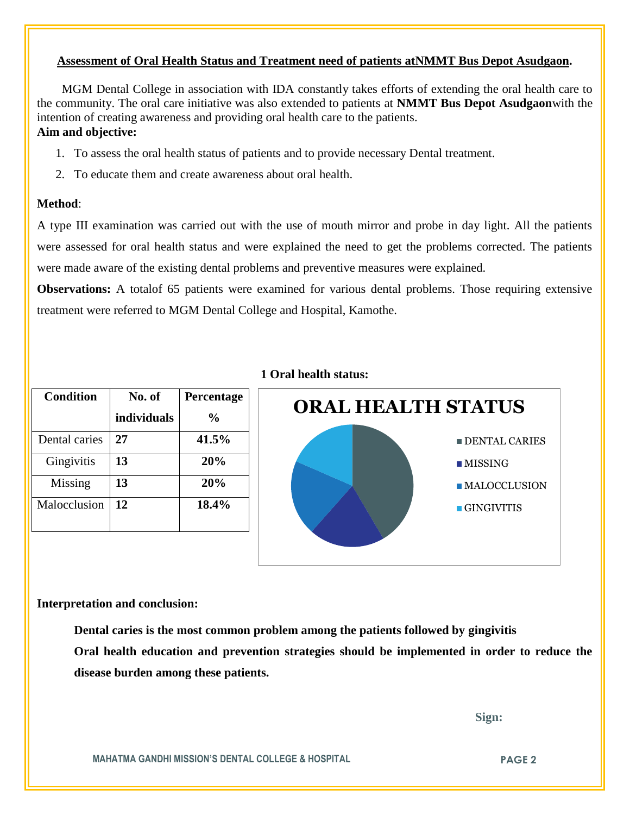## **Assessment of Oral Health Status and Treatment need of patients atNMMT Bus Depot Asudgaon.**

 MGM Dental College in association with IDA constantly takes efforts of extending the oral health care to the community. The oral care initiative was also extended to patients at **NMMT Bus Depot Asudgaon**with the intention of creating awareness and providing oral health care to the patients.

# **Aim and objective:**

- 1. To assess the oral health status of patients and to provide necessary Dental treatment.
- 2. To educate them and create awareness about oral health.

# **Method**:

A type III examination was carried out with the use of mouth mirror and probe in day light. All the patients were assessed for oral health status and were explained the need to get the problems corrected. The patients were made aware of the existing dental problems and preventive measures were explained.

**Observations:** A totalof 65 patients were examined for various dental problems. Those requiring extensive treatment were referred to MGM Dental College and Hospital, Kamothe.

| <b>Condition</b> | No. of      | Percentage |
|------------------|-------------|------------|
|                  | individuals | $\%$       |
| Dental caries    | 27          | 41.5%      |
| Gingivitis       | 13          | 20%        |
| Missing          | 13          | 20%        |
| Malocclusion     | 12          | 18.4%      |

# **1 Oral health status:**



## **Interpretation and conclusion:**

**Dental caries is the most common problem among the patients followed by gingivitis Oral health education and prevention strategies should be implemented in order to reduce the** 

**disease burden among these patients.**

 **Sign:**

**MAHATMA GANDHI MISSION'S DENTAL COLLEGE & HOSPITAL PAGE 2**